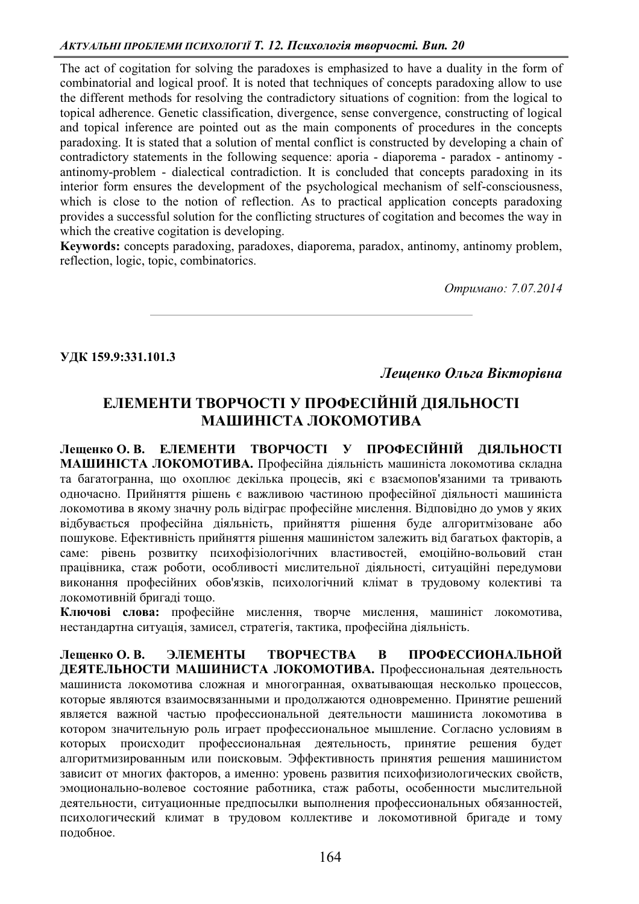The act of cogitation for solving the paradoxes is emphasized to have a duality in the form of combinatorial and logical proof. It is noted that techniques of concepts paradoxing allow to use the different methods for resolving the contradictory situations of cognition: from the logical to topical adherence. Genetic classification, divergence, sense convergence, constructing of logical and topical inference are pointed out as the main components of procedures in the concepts paradoxing. It is stated that a solution of mental conflict is constructed by developing a chain of contradictory statements in the following sequence: aporia - diaporema - paradox - antinomy antinomy-problem - dialectical contradiction. It is concluded that concepts paradoxing in its interior form ensures the development of the psychological mechanism of self-consciousness, which is close to the notion of reflection. As to practical application concepts paradoxing provides a successful solution for the conflicting structures of cogitation and becomes the way in which the creative cogitation is developing.

**Keywords:** concepts paradoxing, paradoxes, diaporema, paradox, antinomy, antinomy problem, reflection, logic, topic, combinatorics.

*Ɉɬɪɢɦɚɧɨ: 7.07.2014* 

УДК 159.9:331.101.3

**Лешенко Ольга Вікторівна** 

## **ЕЛЕМЕНТИ ТВОРЧОСТІ У ПРОФЕСІЙНІЙ ДІЯЛЬНОСТІ** МАШИНІСТА ЛОКОМОТИВА

Лешенко О. В. ЕЛЕМЕНТИ ТВОРЧОСТІ У ПРОФЕСІЙНІЙ ЛІЯЛЬНОСТІ МАШИНІСТА ЛОКОМОТИВА. Професійна діяльність машиніста локомотива складна та багатогранна, що охоплює декілька процесів, які є взаємопов'язаними та тривають одночасно. Прийняття рішень є важливою частиною професійної діяльності машиніста локомотива в якому значну роль відіграє професійне мислення. Відповідно до умов у яких відбувається професійна діяльність, прийняття рішення буде алгоритмізоване або пошукове. Ефективність прийняття рішення машиністом залежить від багатьох факторів, а саме: рівень розвитку психофізіологічних властивостей, емоційно-вольовий стан працівника, стаж роботи, особливості мислительної діяльності, ситуаційні передумови виконання професійних обов'язків, психологічний клімат в трудовому колективі та локомотивній бригалі тошо.

Ключові слова: професійне мислення, творче мислення, машиніст локомотива, нестандартна ситуація, замисел, стратегія, тактика, професійна діяльність.

**Лешенко О. В. ЭЛЕМЕНТЫ ТВОРЧЕСТВА В ПРОФЕССИОНАЛЬНОЙ** ДЕЯТЕЛЬНОСТИ МАШИНИСТА ЛОКОМОТИВА. Профессиональная деятельность машиниста локомотива сложная и многогранная, охватывающая несколько процессов, которые являются взаимосвязанными и продолжаются одновременно. Принятие решений является важной частью профессиональной деятельности машиниста локомотива в котором значительную роль играет профессиональное мышление. Согласно условиям в которых происходит профессиональная деятельность, принятие решения будет алгоритмизированным или поисковым. Эффективность принятия решения машинистом зависит от многих факторов, а именно: уровень развития психофизиологических свойств, эмоционально-волевое состояние работника, стаж работы, особенности мыслительной деятельности, ситуационные предпосылки выполнения профессиональных обязанностей, психологический климат в трудовом коллективе и локомотивной бригаде и тому подобное.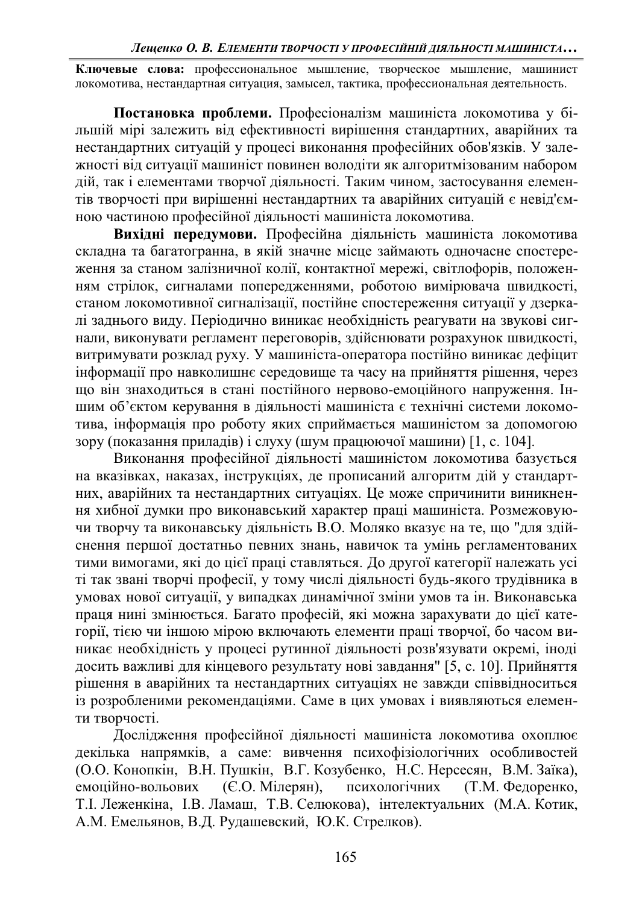Ключевые слова: профессиональное мышление, творческое мышление, машинист локомотива, нестандартная ситуация, замысел, тактика, профессиональная деятельность.

Постановка проблеми. Професіоналізм машиніста локомотива у більшій мірі залежить від ефективності вирішення стандартних, аварійних та нестандартних ситуацій у процесі виконання професійних обов'язків. У залежності від ситуації машиніст повинен володіти як алгоритмізованим набором дій, так і елементами творчої діяльності. Таким чином, застосування елементів творчості при вирішенні нестандартних та аварійних ситуацій є невід'ємною частиною професійної діяльності машиніста локомотива.

Вихідні передумови. Професійна діяльність машиніста локомотива складна та багатогранна, в якій значне місце займають одночасне спостереження за станом залізничної колії, контактної мережі, світлофорів, положенням стрілок, сигналами попередженнями, роботою вимірювача швидкості, станом локомотивної сигналізації, постійне спостереження ситуації у дзеркалі заднього виду. Періодично виникає необхідність реагувати на звукові сигнали, виконувати регламент переговорів, здійснювати розрахунок швидкості, витримувати розклад руху. У машиніста-оператора постійно виникає дефіцит інформації про навколишнє середовище та часу на прийняття рішення, через що він знаходиться в стані постійного нервово-емоційного напруження. Іншим об'єктом керування в діяльності машиніста є технічні системи локомотива, інформація про роботу яких сприймається машиністом за допомогою зору (показання приладів) і слуху (шум працюючої машини) [1, с. 104].

Виконання професійної діяльності машиністом локомотива базується на вказівках, наказах, інструкціях, де прописаний алгоритм дій у стандартних, аварійних та нестандартних ситуаціях. Це може спричинити виникнення хибної думки про виконавський характер праці машиніста. Розмежовуючи творчу та виконавську діяльність В.О. Моляко вказує на те, що "для здійснення першої достатньо певних знань, навичок та умінь регламентованих тими вимогами, які до цієї праці ставляться. До другої категорії належать усі ті так звані творчі професії, у тому числі діяльності будь-якого трудівника в умовах нової ситуації, у випадках динамічної зміни умов та ін. Виконавська праця нині змінюється. Багато професій, які можна зарахувати до цієї категорії, тією чи іншою мірою включають елементи праці творчої, бо часом виникає необхідність у процесі рутинної діяльності розв'язувати окремі, іноді досить важливі для кінцевого результату нові завдання" [5, с. 10]. Прийняття рішення в аварійних та нестандартних ситуаціях не завжди співвідноситься із розробленими рекомендаціями. Саме в цих умовах і виявляються елементи творчості.

Дослідження професійної діяльності машиніста локомотива охоплює декілька напрямків, а саме: вивчення психофізіологічних особливостей (О.О. Конопкін, В.Н. Пушкін, В.Г. Козубенко, Н.С. Нерсесян, В.М. Заїка). емоційно-вольових (Є.О. Мілерян), психологічних (Т.М. Федоренко, Т. І. Леженкіна, І.В. Ламаш, Т.В. Селюкова), інтелектуальних (М.А. Котик, А.М. Емельянов, В.Д. Рудашевский, Ю.К. Стрелков).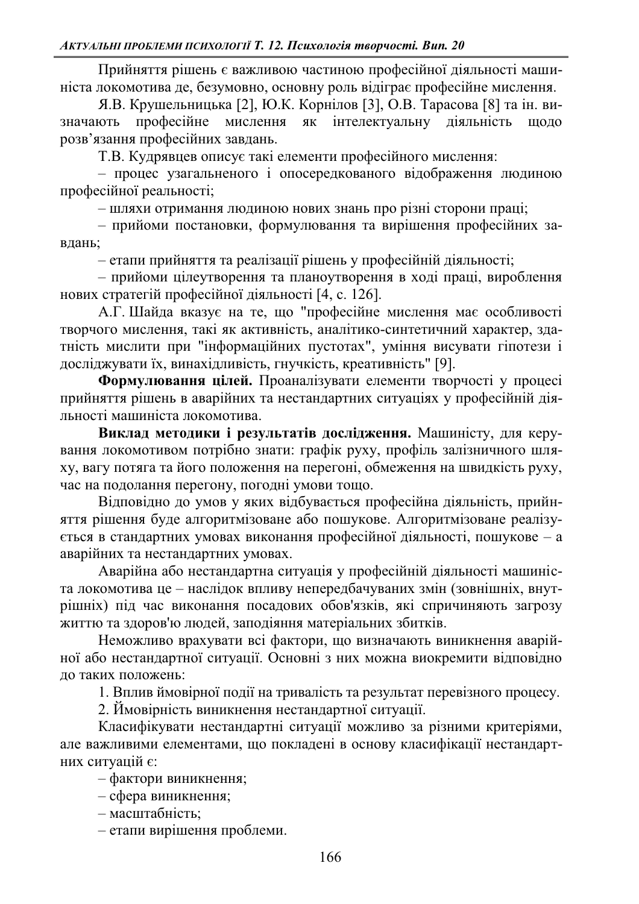Прийняття рішень є важливою частиною професійної діяльності машиніста локомотива де, безумовно, основну роль відіграє професійне мислення.

Я.В. Крушельницька [2], Ю.К. Корнілов [3], О.В. Тарасова [8] та ін. визначають професійне мислення як інтелектуальну діяльність щодо розв'язання професійних завдань.

Т.В. Кудрявцев описує такі елементи професійного мислення:

= процес узагальненого *і* опосередкованого відображення людиною професійної реальності;

- шляхи отримання людиною нових знань про різні сторони праці;

- прийоми постановки, формулювання та вирішення професійних завлань:

 $-$ етапи прийняття та реалізації рішень у професійній діяльності;

 $-$  прийоми цілеутворення та планоутворення в ході праці, вироблення нових стратегій професійної діяльності [4, с. 126].

А.Г. Шайда вказує на те, що "професійне мислення має особливості творчого мислення, такі як активність, аналітико-синтетичний характер, здатність мислити при "інформаційних пустотах", уміння висувати гіпотези і досліджувати їх, винахідливість, гнучкість, креативність" [9].

Формулювання цілей. Проаналізувати елементи творчості у процесі прийняття рішень в аварійних та нестандартних ситуаціях у професійній діяльності машиніста локомотива.

Виклад методики *і результатів дослідження*. Машиністу, для керування локомотивом потрібно знати: графік руху, профіль залізничного шляху, вагу потяга та його положення на перегоні, обмеження на швидкість руху, час на подолання перегону, погодні умови тощо.

Відповідно до умов у яких відбувається професійна діяльність, прийняття рішення буде алгоритмізоване або пошукове. Алгоритмізоване реалізується в стандартних умовах виконання професійної діяльності, пошукове - а аварійних та нестандартних умовах.

Аварійна або нестандартна ситуація у професійній діяльності машиніста локомотива це - наслідок впливу непередбачуваних змін (зовнішніх, внутрішніх) під час виконання посадових обов'язків, які спричиняють загрозу життю та здоров'ю людей, заподіяння матеріальних збитків.

Неможливо врахувати всі фактори, що визначають виникнення аварійної або нестандартної ситуації. Основні з них можна виокремити відповідно до таких положень:

1. Вплив ймовірної події на тривалість та результат перевізного процесу.

2. Ймовірність виникнення нестандартної ситуації.

Класифікувати нестандартні ситуації можливо за різними критеріями, але важливими елементами, що покладені в основу класифікації нестандартних ситуацій є:

 $-$  фактори виникнення;

 $-$  сфера виникнення;

- масштабність;

- етапи вирішення проблеми.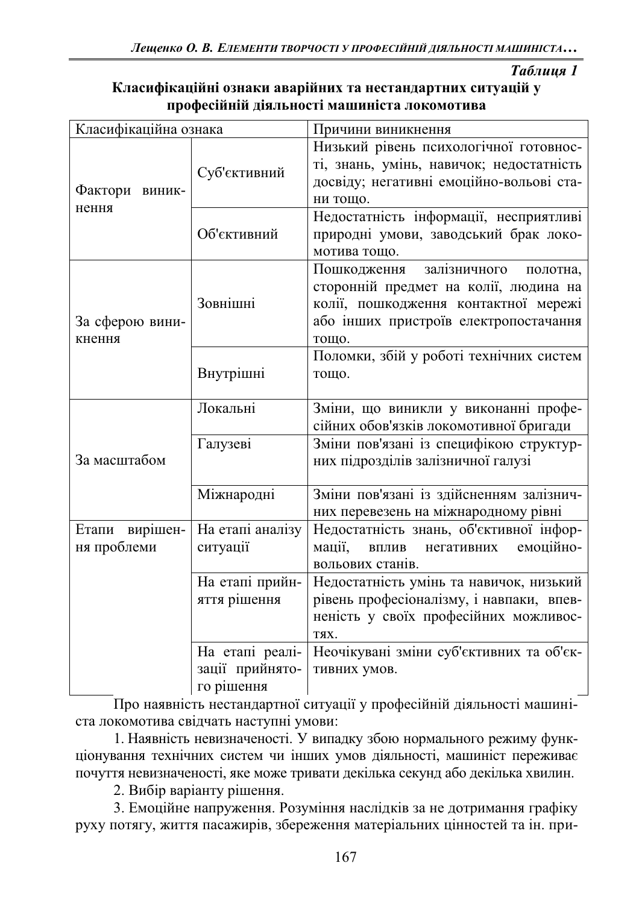**Таблиия** 1

| Класифікаційні ознаки аварійних та нестандартних ситуацій у |
|-------------------------------------------------------------|
| професійній діяльності машиніста локомотива                 |

| Класифікаційна ознака     |                  | Причини виникнення                         |
|---------------------------|------------------|--------------------------------------------|
| Фактори виник-<br>нення   | Суб'єктивний     | Низький рівень психологічної готовнос-     |
|                           |                  | ті, знань, умінь, навичок; недостатність   |
|                           |                  | досвіду; негативні емоційно-вольові ста-   |
|                           |                  | ни тощо.                                   |
|                           | Об'єктивний      | Недостатність інформації, несприятливі     |
|                           |                  | природні умови, заводський брак локо-      |
|                           |                  | мотива тощо.                               |
| За сферою вини-<br>кнення |                  | залізничного<br>Пошкодження<br>полотна,    |
|                           | Зовнішні         | сторонній предмет на колії, людина на      |
|                           |                  | колії, пошкодження контактної мережі       |
|                           |                  | або інших пристроїв електропостачання      |
|                           |                  | тощо.                                      |
|                           |                  | Поломки, збій у роботі технічних систем    |
|                           | Внутрішні        | тощо.                                      |
|                           |                  |                                            |
| За масштабом              | Локальні         | Зміни, що виникли у виконанні профе-       |
|                           |                  | сійних обов'язків локомотивної бригади     |
|                           | Галузеві         | Зміни пов'язані із специфікою структур-    |
|                           |                  | них підрозділів залізничної галузі         |
|                           |                  |                                            |
|                           | Міжнародні       | Зміни пов'язані із здійсненням залізнич-   |
|                           |                  | них перевезень на міжнародному рівні       |
| Етапи вирішен-            | На етапі аналізу | Недостатність знань, об'єктивної інфор-    |
| ня проблеми               | ситуації         | мації,<br>емоційно-<br>ВПЛИВ<br>негативних |
|                           |                  | вольових станів.                           |
|                           | На етапі прийн-  | Недостатність умінь та навичок, низький    |
|                           | яття рішення     | рівень професіоналізму, і навпаки, впев-   |
|                           |                  | неність у своїх професійних можливос-      |
|                           |                  | ТЯХ.                                       |
|                           | На етапі реалі-  | Неочікувані зміни суб'єктивних та об'єк-   |
|                           | зації прийнято-  | тивних умов.                               |
|                           | го рішення       |                                            |

Про наявність нестандартної ситуації у професійній діяльності машиніста локомотива свідчать наступні умови:

1. Наявність невизначеності. У випадку збою нормального режиму функціонування технічних систем чи інших умов діяльності, машиніст переживає почуття невизначеності, яке може тривати декілька секунд або декілька хвилин.

2. Вибір варіанту рішення.

3. Емоційне напруження. Розуміння наслідків за не дотримання графіку руху потягу, життя пасажирів, збереження матеріальних цінностей та ін. при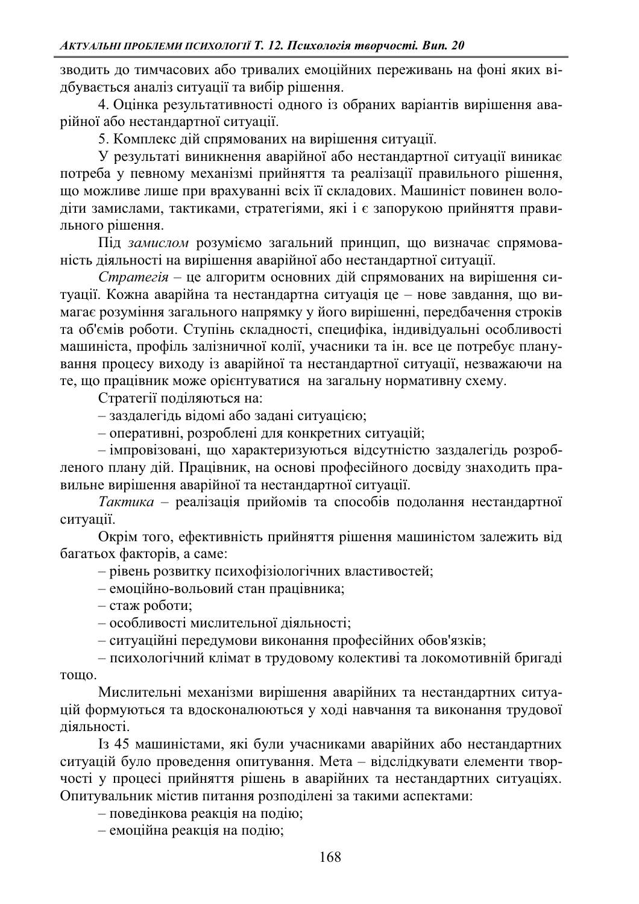зводить до тимчасових або тривалих емоційних переживань на фоні яких відбувається аналіз ситуації та вибір рішення.

4. Оцінка результативності одного із обраних варіантів вирішення аварійної або нестандартної ситуації.

5. Комплекс дій спрямованих на вирішення ситуації.

У результаті виникнення аварійної або нестандартної ситуації виникає потреба у певному механізмі прийняття та реалізації правильного рішення, що можливе лише при врахуванні всіх її складових. Машиніст повинен володіти замислами, тактиками, стратегіями, які і є запорукою прийняття правильного рішення.

Під замислом розуміємо загальний принцип, що визначає спрямованість діяльності на вирішення аварійної або нестандартної ситуації.

*Стратегія* – це алгоритм основних дій спрямованих на вирішення ситуації. Кожна аварійна та нестандартна ситуація це - нове завдання, що вимагає розуміння загального напрямку у його вирішенні, передбачення строків та об'ємів роботи. Ступінь складності, специфіка, індивідуальні особливості машиніста, профіль залізничної колії, учасники та ін. все це потребує планування процесу виходу із аварійної та нестандартної ситуації, незважаючи на те, що працівник може орієнтуватися на загальну нормативну схему.

Стратегії поділяються на:

- заздалегідь відомі або задані ситуацією;

- оперативні, розроблені для конкретних ситуацій;

- імпровізовані, що характеризуються відсутністю заздалегідь розробленого плану дій. Працівник, на основі професійного досвіду знаходить правильне вирішення аварійної та нестандартної ситуації.

Tактика - реалізація прийомів та способів подолання нестандартної ситуації.

Окрім того, ефективність прийняття рішення машиністом залежить від багатьох факторів, а саме:

 $-$  рівень розвитку психофізіологічних властивостей:

- емоційно-вольовий стан працівника;

 $-$  стаж роботи;

- особливості мислительної діяльності;

– ситуаційні передумови виконання професійних обов'язків;

- психологічний клімат в трудовому колективі та локомотивній бригаді тошо.

Мислительні механізми вирішення аварійних та нестандартних ситуацій формуються та вдосконалюються у ході навчання та виконання трудової діяльності.

Iз 45 машиністами, які були учасниками аварійних або нестандартних ситуацій було проведення опитування. Мета - відслідкувати елементи творчості у процесі прийняття рішень в аварійних та нестандартних ситуаціях. Опитувальник містив питання розподілені за такими аспектами:

 $-$  поведінкова реакція на подію;

 $-$ емоційна реакція на подію;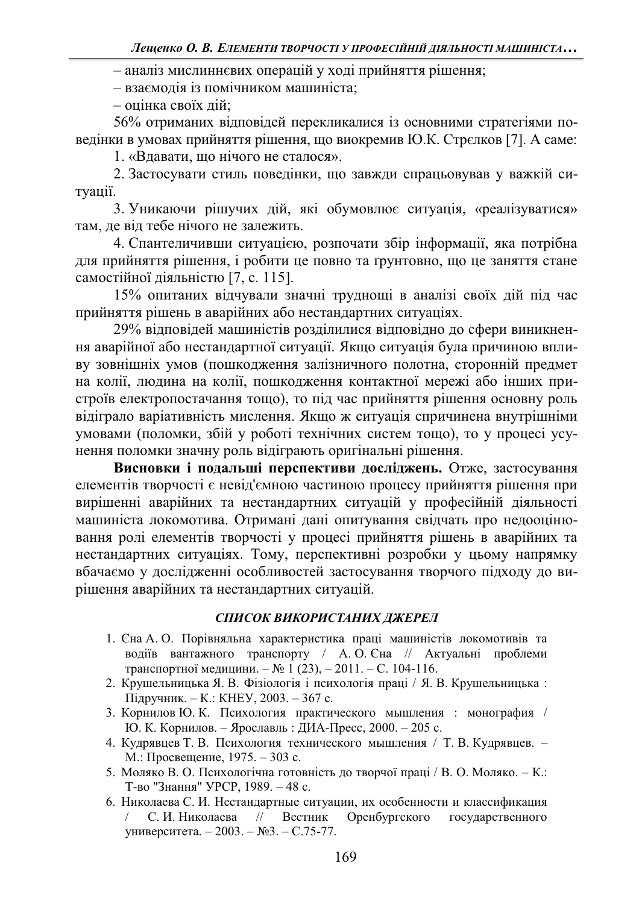- аналіз мислиннєвих операцій у ході прийняття рішення;

- взаємодія із помічником машиніста;

 $-$  опінка своїх лій:

56% отриманих відповідей перекликалися із основними стратегіями поведінки в умовах прийняття рішення, що виокремив Ю.К. Стрєлков [7]. А саме:

1. «Вдавати, що нічого не сталося».

2. Застосувати стиль поведінки, що завжди спрацьовував у важкій ситуації.

3. Уникаючи рішучих дій, які обумовлює ситуація, «реалізуватися» там, де від тебе нічого не залежить.

4. Спантеличивши ситуацією, розпочати збір інформації, яка потрібна для прийняття рішення, і робити це повно та ґрунтовно, що це заняття стане самостійної діяльністю [7, с. 115].

15% опитаних відчували значні труднощі в аналізі своїх дій під час прийняття рішень в аварійних або нестандартних ситуаціях.

29% відповідей машиністів розділилися відповідно до сфери виникнення аварійної або нестандартної ситуації. Якщо ситуація була причиною впливу зовнішніх умов (пошкодження залізничного полотна, сторонній предмет на колії, людина на колії, пошкодження контактної мережі або інших пристроїв електропостачання тощо), то під час прийняття рішення основну роль відіграло варіативність мислення. Якщо ж ситуація спричинена внутрішніми умовами (поломки, збій у роботі технічних систем тощо), то у процесі усунення поломки значну роль відіграють оригінальні рішення.

Висновки і подальші перспективи досліджень. Отже, застосування елементів творчості є невід'ємною частиною процесу прийняття рішення при вирішенні аварійних та нестандартних ситуацій у професійній діяльності машиніста локомотива. Отримані дані опитування свідчать про недооцінювання ролі елементів творчості у процесі прийняття рішень в аварійних та нестандартних ситуаціях. Тому, перспективні розробки у цьому напрямку вбачаємо у дослідженні особливостей застосування творчого підходу до вирішення аварійних та нестандартних ситуацій.

## СПИСОК ВИКОРИСТАНИХ ДЖЕРЕЛ

- 1. Єна А. О. Порівняльна характеристика праці машиністів локомотивів та водіїв вантажного транспорту / А. О. Єна // Актуальні проблеми транспортної медицини.  $-\mathcal{N}_2$  1 (23),  $-2011$ .  $-$  С. 104-116.
- 2. Крушельницька Я. В. Фізіологія і психологія праці / Я. В. Крушельницька: Підручник. – К.: КНЕУ, 2003. – 367 с.
- 3. Корнилов Ю. К. Психология практического мышления: монография / Ю. К. Корнилов. - Ярославль: ДИА-Пресс, 2000. - 205 с.
- 4. Кудрявцев Т. В. Психология технического мышления / Т. В. Кудрявцев. -М.: Просвещение, 1975. – 303 с.
- 5. Моляко В. О. Психологічна готовність до творчої праці / В. О. Моляко. К.: Т-во "Знання" УРСР, 1989. - 48 с.
- 6. Николаева С. И. Нестандартные ситуации, их особенности и классификация С. И. Николаева // Вестник Оренбургского государственного университета. - 2003. – №3. – С.75-77.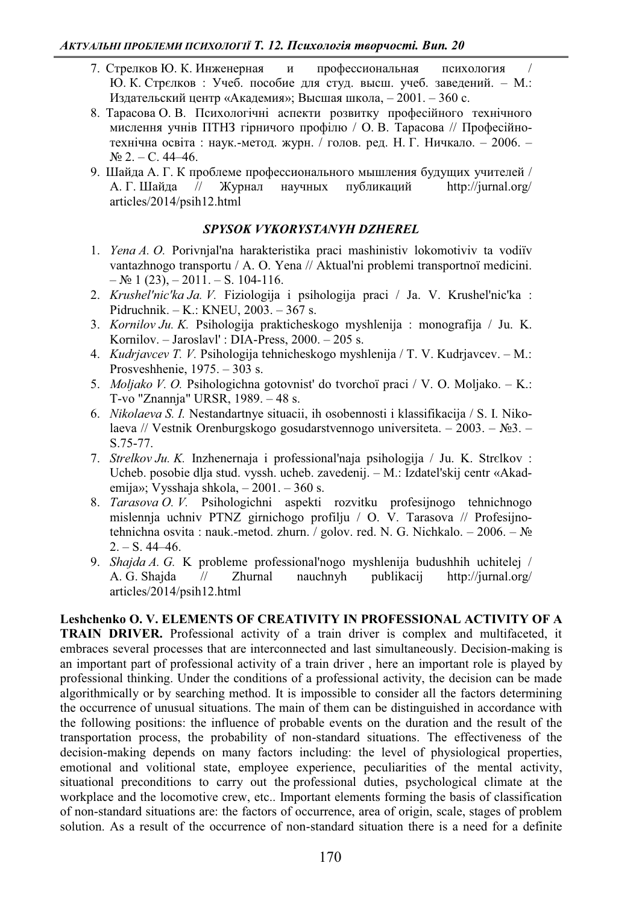- 7. Стрелков Ю. К. Инженерная и профессиональная психология / Ю. К. Стрєлков: Учеб. пособие для студ. высш. учеб. заведений. - М.: Издательский центр «Академия»; Высшая школа, - 2001. - 360 с.
- 8. Тарасова О. В. Психологічні аспекти розвитку професійного технічного мислення учнів ПТНЗ гірничого профілю / О. В. Тарасова // Професійнотехнічна освіта: наук.-метод. журн. / голов. ред. Н. Г. Ничкало. - 2006. - $N_2$  2. – C. 44–46.
- 9. Шайда А. Г. К проблеме профессионального мышления будущих учителей / А. Г. Шайла // Журнал научных публикаций http://jurnal.org/ articles/2014/psih12.html

#### *SPYSOK VYKORYSTANYH DZHEREL*

- 1. *Yena A. O.* Porivnjal'na harakteristika praci mashinistiv lokomotiviv ta vodiïv vantazhnogo transportu / A. O. Yena // Aktual'ni problemi transportnoï medicini.  $-\mathcal{N}_{2}$  1 (23),  $-2011$ .  $-$  S. 104-116.
- 2. *Krushel'nic'ka Ja. V.* Fiziologija i psihologija praci / Ja. V. Krushel'nic'ka : Pidruchnik. – K.: KNEU, 2003. – 367 s.
- 3. *Kornilov Ju. K.* Psihologija prakticheskogo myshlenija : monografija / Ju. K. Kornilov.  $-$  Jaroslavl' : DIA-Press, 2000.  $-$  205 s.
- 4. *Kudrjavcev T. V.* Psihologija tehnicheskogo myshlenija / T. V. Kudrjavcev. M.: Prosveshhenie,  $1975. - 303$  s.
- 5. *Moljako V. O.* Psihologichna gotovnist' do tvorchoï praci / V. O. Moljako. K.: T-vo "Znannja" URSR, 1989. - 48 s.
- 6. *Nikolaeva S. I.* Nestandartnye situacii, ih osobennosti i klassifikacija / S. I. Nikolaeva // Vestnik Orenburgskogo gosudarstvennogo universiteta.  $-2003. - N_{2}3. -$ S.75-77.
- 7. *Strelkov Ju. K.* Inzhenernaja i professional'naja psihologija / Ju. K. Strelkov : Ucheb. posobie dlja stud. vyssh. ucheb. zavedenij. – M.: Izdatel'skij centr «Akademija»; Vysshaja shkola,  $-2001$ .  $-360$  s.
- 8. *Tarasova O. V.* Psihologichni aspekti rozvitku profesijnogo tehnichnogo mislennja uchniv PTNZ girnichogo profilju / O. V. Tarasova // Profesijnotehnichna osvita : nauk.-metod. zhurn. / golov. red. N. G. Nichkalo.  $-2006$ .  $-\mathcal{N}_2$  $2. - S. 44 - 46.$
- 9. *Shajda A. G.* K probleme professional'nogo myshlenija budushhih uchitelej / A. G. Shajda // Zhurnal nauchnyh publikacij http://jurnal.org/ articles/2014/psih12.html

**Leshchenko O. V. ELEMENTS OF CREATIVITY IN PROFESSIONAL ACTIVITY OF A TRAIN DRIVER.** Professional activity of a train driver is complex and multifaceted, it embraces several processes that are interconnected and last simultaneously. Decision-making is an important part of professional activity of a train driver , here an important role is played by professional thinking. Under the conditions of a professional activity, the decision can be made algorithmically or by searching method. It is impossible to consider all the factors determining the occurrence of unusual situations. The main of them can be distinguished in accordance with the following positions: the influence of probable events on the duration and the result of the transportation process, the probability of non-standard situations. The effectiveness of the decision-making depends on many factors including: the level of physiological properties, emotional and volitional state, employee experience, peculiarities of the mental activity, situational preconditions to carry out the professional duties, psychological climate at the workplace and the locomotive crew, etc.. Important elements forming the basis of classification of non-standard situations are: the factors of occurrence, area of origin, scale, stages of problem solution. As a result of the occurrence of non-standard situation there is a need for a definite